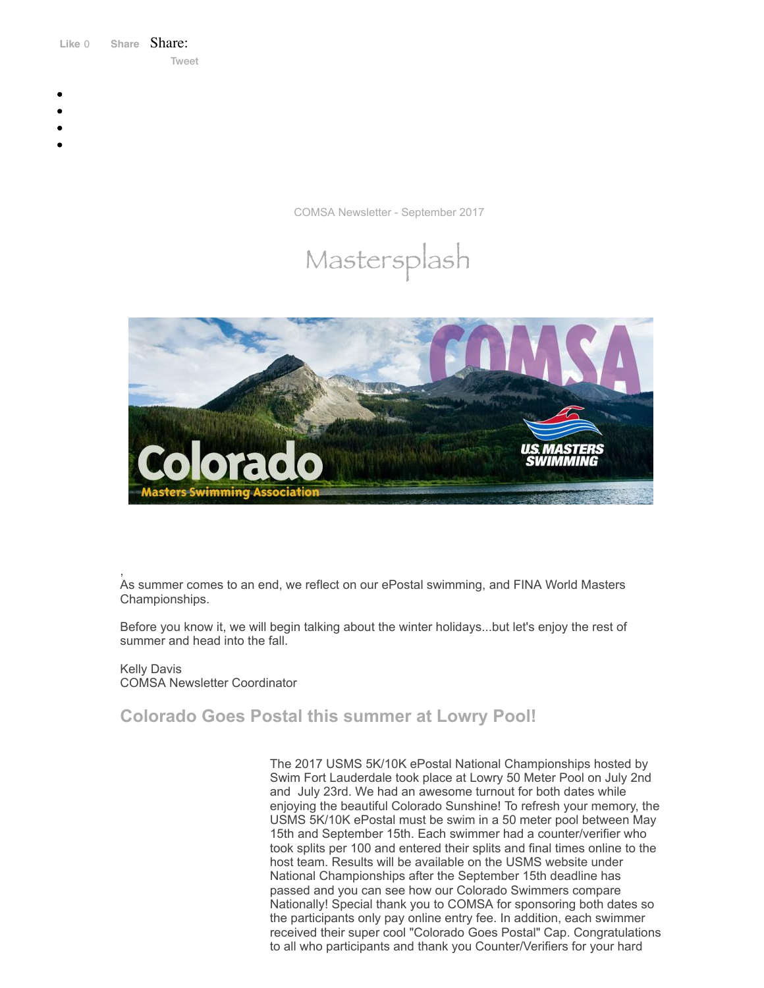Like 0 **[Share](https://www.facebook.com/sharer/sharer.php?u=https%3A%2F%2Fmyemail.constantcontact.com%2FCOMSA-Newsletter--September-2017.html%3Fsoid%3D1108936408185%26aid%3D0nyo-U2jfJc&display=popup&ref=plugin&src=like&kid_directed_site=0&app_id=120295828008556)** Share: [Tweet](https://twitter.com/intent/tweet?original_referer=https%3A%2F%2Fmyemail.constantcontact.com%2FCOMSA-Newsletter--September-2017.html%3Fsoid%3D1108936408185%26aid%3D0nyo-U2jfJc&ref_src=twsrc%5Etfw&text=COMSA%20Newsletter%20-September%202017&tw_p=tweetbutton&url=https%3A%2F%2Fmyemail.constantcontact.com%2FCOMSA-Newsletter--September-2017.html%3Fsoid%3D1108936408185%26aid%3D0nyo-U2jfJc)

- 
- 
- 
- 
- 

COMSA Newsletter - September 2017





, As summer comes to an end, we reflect on our ePostal swimming, and FINA World Masters Championships.

Before you know it, we will begin talking about the winter holidays...but let's enjoy the rest of summer and head into the fall.

Kelly Davis COMSA Newsletter Coordinator

# **Colorado Goes Postal this summer at Lowry Pool!**

The 2017 USMS 5K/10K ePostal National Championships hosted by Swim Fort Lauderdale took place at Lowry 50 Meter Pool on July 2nd and July 23rd. We had an awesome turnout for both dates while enjoying the beautiful Colorado Sunshine! To refresh your memory, the USMS 5K/10K ePostal must be swim in a 50 meter pool between May 15th and September 15th. Each swimmer had a counter/verifier who took splits per 100 and entered their splits and final times online to the host team. Results will be available on the USMS website under National Championships after the September 15th deadline has passed and you can see how our Colorado Swimmers compare Nationally! Special thank you to COMSA for sponsoring both dates so the participants only pay online entry fee. In addition, each swimmer received their super cool "Colorado Goes Postal" Cap. Congratulations to all who participants and thank you Counter/Verifiers for your hard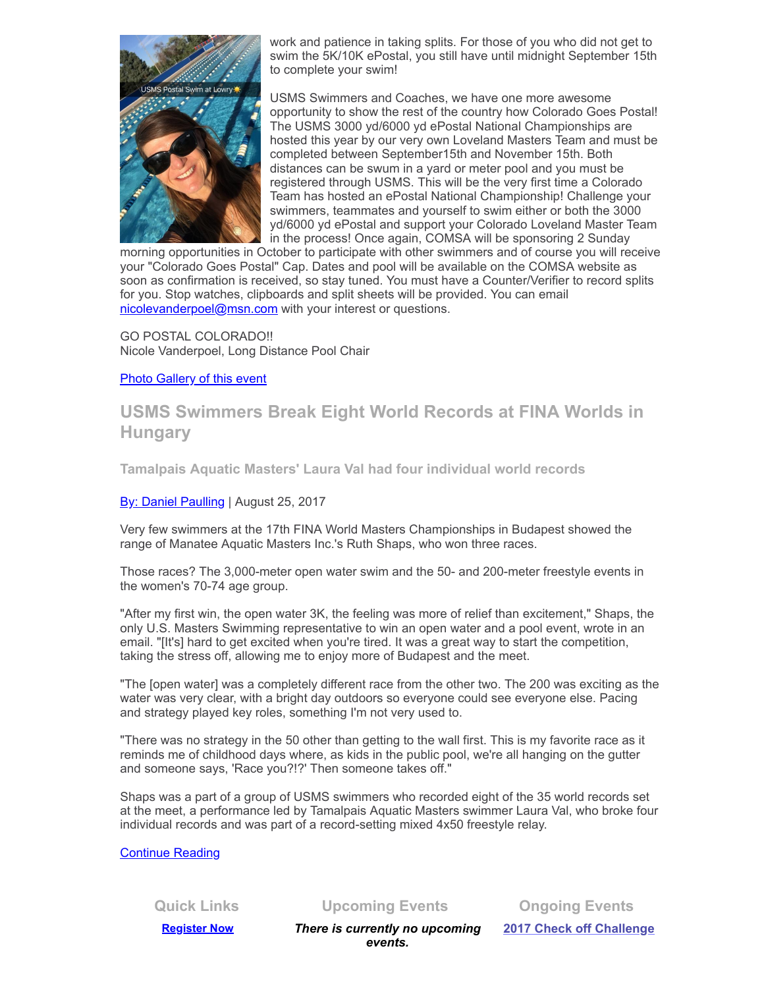

work and patience in taking splits. For those of you who did not get to swim the 5K/10K ePostal, you still have until midnight September 15th to complete your swim!

USMS Swimmers and Coaches, we have one more awesome opportunity to show the rest of the country how Colorado Goes Postal! The USMS 3000 yd/6000 yd ePostal National Championships are hosted this year by our very own Loveland Masters Team and must be completed between September15th and November 15th. Both distances can be swum in a yard or meter pool and you must be registered through USMS. This will be the very first time a Colorado Team has hosted an ePostal National Championship! Challenge your swimmers, teammates and yourself to swim either or both the 3000 yd/6000 yd ePostal and support your Colorado Loveland Master Team in the process! Once again, COMSA will be sponsoring 2 Sunday

morning opportunities in October to participate with other swimmers and of course you will receive your "Colorado Goes Postal" Cap. Dates and pool will be available on the COMSA website as soon as confirmation is received, so stay tuned. You must have a Counter/Verifier to record splits for you. Stop watches, clipboards and split sheets will be provided. You can email [nicolevanderpoel@msn.com](mailto:nicolevanderpoel@msn.com) with your interest or questions.

GO POSTAL COLORADO!! Nicole Vanderpoel, Long Distance Pool Chair

#### Photo [Gallery](http://www.comsa.org/events/2017/ePostal/2017_ePostal_summer_Gallery.html) of this event

## **USMS Swimmers Break Eight World Records at FINA Worlds in Hungary**

**Tamalpais Aquatic Masters' Laura Val had four individual world records**

By: Daniel [Paulling](http://www.usms.org/articles/articlesearch.php?AuthorID[]=443) | August 25, 2017

Very few swimmers at the 17th FINA World Masters Championships in Budapest showed the range of Manatee Aquatic Masters Inc.'s Ruth Shaps, who won three races.

Those races? The 3,000-meter open water swim and the 50- and 200-meter freestyle events in the women's 70-74 age group.

"After my first win, the open water 3K, the feeling was more of relief than excitement," Shaps, the only U.S. Masters Swimming representative to win an open water and a pool event, wrote in an email. "[It's] hard to get excited when you're tired. It was a great way to start the competition, taking the stress off, allowing me to enjoy more of Budapest and the meet.

"The [open water] was a completely different race from the other two. The 200 was exciting as the water was very clear, with a bright day outdoors so everyone could see everyone else. Pacing and strategy played key roles, something I'm not very used to.

"There was no strategy in the 50 other than getting to the wall first. This is my favorite race as it reminds me of childhood days where, as kids in the public pool, we're all hanging on the gutter and someone says, 'Race you?!?' Then someone takes off."

Shaps was a part of a group of USMS swimmers who recorded eight of the 35 world records set at the meet, a performance led by Tamalpais Aquatic Masters swimmer Laura Val, who broke four individual records and was part of a record-setting mixed 4x50 freestyle relay.

[Continue](http://www.usms.org/articles/articledisplay.php?aid=3390) Reading

**Quick Links Upcoming Events Ongoing Events**

**[Register Now](http://comsa.org/joining/index.html)** *There is currently no upcoming events.*

**2017 Check off [Challenge](http://www.usms.org/fitness/content/checkoff)**